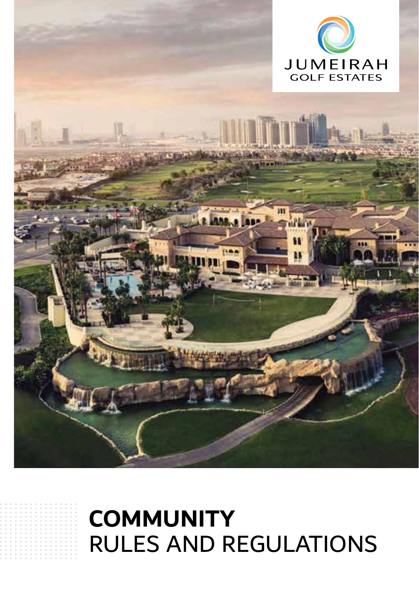

**HEAR** 

## **COMMUNITY** RULES AND REGULATIONS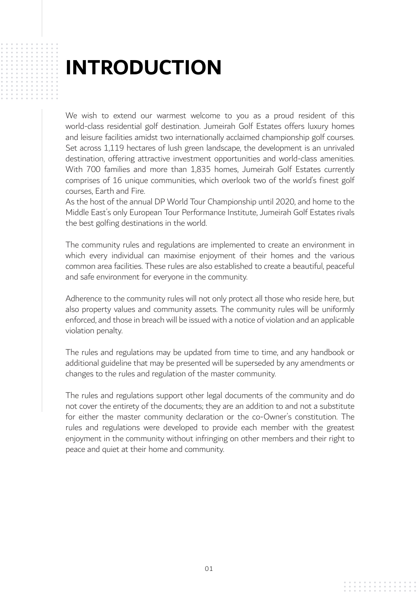## **INTRODUCTION**

We wish to extend our warmest welcome to you as a proud resident of this world-class residential golf destination. Jumeirah Golf Estates offers luxury homes and leisure facilities amidst two internationally acclaimed championship golf courses. Set across 1,119 hectares of lush green landscape, the development is an unrivaled destination, offering attractive investment opportunities and world-class amenities. With 700 families and more than 1,835 homes, Jumeirah Golf Estates currently comprises of 16 unique communities, which overlook two of the world's finest golf courses, Earth and Fire.

As the host of the annual DP World Tour Championship until 2020, and home to the Middle East's only European Tour Performance Institute, Jumeirah Golf Estates rivals the best golfing destinations in the world.

The community rules and regulations are implemented to create an environment in which every individual can maximise enjoyment of their homes and the various common area facilities. These rules are also established to create a beautiful, peaceful and safe environment for everyone in the community.

Adherence to the community rules will not only protect all those who reside here, but also property values and community assets. The community rules will be uniformly enforced, and those in breach will be issued with a notice of violation and an applicable violation penalty.

The rules and regulations may be updated from time to time, and any handbook or additional guideline that may be presented will be superseded by any amendments or changes to the rules and regulation of the master community.

The rules and regulations support other legal documents of the community and do not cover the entirety of the documents; they are an addition to and not a substitute for either the master community declaration or the co-Owner's constitution. The rules and regulations were developed to provide each member with the greatest enjoyment in the community without infringing on other members and their right to peace and quiet at their home and community.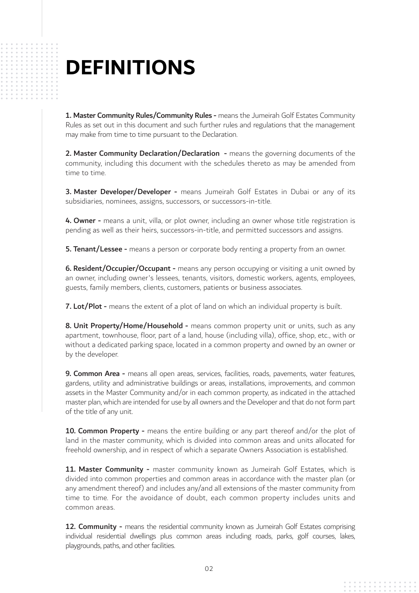## **DEFINITIONS**

1. Master Community Rules/Community Rules - means the Jumeirah Golf Estates Community Rules as set out in this document and such further rules and regulations that the management may make from time to time pursuant to the Declaration.

2. Master Community Declaration/Declaration - means the governing documents of the community, including this document with the schedules thereto as may be amended from time to time.

3. Master Developer/Developer - means Jumeirah Golf Estates in Dubai or any of its subsidiaries, nominees, assigns, successors, or successors-in-title.

4. Owner - means a unit, villa, or plot owner, including an owner whose title registration is pending as well as their heirs, successors-in-title, and permitted successors and assigns.

**5. Tenant/Lessee -** means a person or corporate body renting a property from an owner.

**6. Resident/Occupier/Occupant -** means any person occupying or visiting a unit owned by an owner, including owner's lessees, tenants, visitors, domestic workers, agents, employees, guests, family members, clients, customers, patients or business associates.

7. Lot/Plot - means the extent of a plot of land on which an individual property is built.

8. Unit Property/Home/Household - means common property unit or units, such as any apartment, townhouse, floor, part of a land, house (including villa), office, shop, etc., with or without a dedicated parking space, located in a common property and owned by an owner or by the developer.

9. Common Area - means all open areas, services, facilities, roads, pavements, water features, gardens, utility and administrative buildings or areas, installations, improvements, and common assets in the Master Community and/or in each common property, as indicated in the attached master plan, which are intended for use by all owners and the Developer and that do not form part of the title of any unit.

10. Common Property - means the entire building or any part thereof and/or the plot of land in the master community, which is divided into common areas and units allocated for freehold ownership, and in respect of which a separate Owners Association is established.

11. Master Community - master community known as Jumeirah Golf Estates, which is divided into common properties and common areas in accordance with the master plan (or any amendment thereof) and includes any/and all extensions of the master community from time to time. For the avoidance of doubt, each common property includes units and common areas.

12. Community - means the residential community known as Jumeirah Golf Estates comprising individual residential dwellings plus common areas including roads, parks, golf courses, lakes, playgrounds, paths, and other facilities.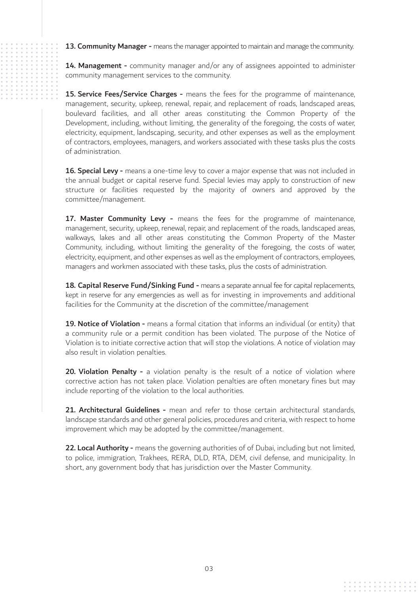13. Community Manager - means the manager appointed to maintain and manage the community.

14. Management - community manager and/or any of assignees appointed to administer community management services to the community.

15. Service Fees/Service Charges - means the fees for the programme of maintenance, management, security, upkeep, renewal, repair, and replacement of roads, landscaped areas, boulevard facilities, and all other areas constituting the Common Property of the Development, including, without limiting, the generality of the foregoing, the costs of water, electricity, equipment, landscaping, security, and other expenses as well as the employment of contractors, employees, managers, and workers associated with these tasks plus the costs of administration.

16. Special Levy - means a one-time levy to cover a major expense that was not included in the annual budget or capital reserve fund. Special levies may apply to construction of new structure or facilities requested by the majority of owners and approved by the committee/management.

17. Master Community Levy - means the fees for the programme of maintenance, management, security, upkeep, renewal, repair, and replacement of the roads, landscaped areas, walkways, lakes and all other areas constituting the Common Property of the Master Community, including, without limiting the generality of the foregoing, the costs of water, electricity, equipment, and other expenses as well as the employment of contractors, employees, managers and workmen associated with these tasks, plus the costs of administration.

18. Capital Reserve Fund/Sinking Fund - means a separate annual fee for capital replacements, kept in reserve for any emergencies as well as for investing in improvements and additional facilities for the Community at the discretion of the committee/management

19. Notice of Violation - means a formal citation that informs an individual (or entity) that a community rule or a permit condition has been violated. The purpose of the Notice of Violation is to initiate corrective action that will stop the violations. A notice of violation may also result in violation penalties.

20. Violation Penalty - a violation penalty is the result of a notice of violation where corrective action has not taken place. Violation penalties are often monetary fines but may include reporting of the violation to the local authorities.

21. Architectural Guidelines - mean and refer to those certain architectural standards, landscape standards and other general policies, procedures and criteria, with respect to home improvement which may be adopted by the committee/management.

22. Local Authority - means the governing authorities of of Dubai, including but not limited. to police, immigration, Trakhees, RERA, DLD, RTA, DEM, civil defense, and municipality. In short, any government body that has jurisdiction over the Master Community.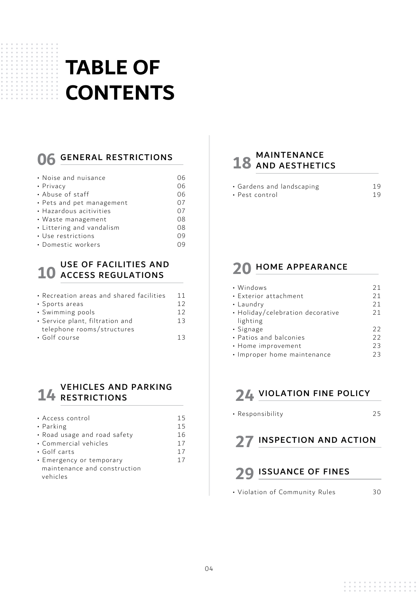## **TABLE OF CONTENTS**

### **06** GENERAL RESTRICTIONS

| • Noise and nuisance      | በ6 |
|---------------------------|----|
| • Privacy                 | 06 |
| • Abuse of staff          | 06 |
| • Pets and pet management | 07 |
| • Hazardous acitivities   | 07 |
| $\cdot$ Waste management  | 08 |
| • Littering and vandalism | 08 |
| • Use restrictions        | 09 |
| • Domestic workers        | Ωq |

## **10** USE OF FACILITIES AND ACCESS REGULATIONS

| • Recreation areas and shared facilities | 11 |
|------------------------------------------|----|
| • Sports areas                           | 12 |
| • Swimming pools                         | 12 |
| • Service plant, filtration and          | 13 |
| telephone rooms/structures               |    |
| • Golf course                            | 13 |
|                                          |    |

## **14** RESTRICTIONS

| · Access control             | 15 |
|------------------------------|----|
| • Parking                    | 15 |
| • Road usage and road safety | 16 |
| • Commercial vehicles        | 17 |
| $\cdot$ Golf carts           | 17 |
| • Emergency or temporary     | 17 |
| maintenance and construction |    |
| vehicles                     |    |

### 18 MAINTENANCE

| · Gardens and landscaping | 19 |
|---------------------------|----|
| • Pest control            | 19 |

#### **20** HOME APPEARANCE

| • Windows                        | 21 |
|----------------------------------|----|
| • Exterior attachment            | 21 |
| • Laundry                        | 21 |
| • Holiday/celebration decorative | 21 |
| lighting                         |    |
| · Signage                        | フフ |
| • Patios and balconies           | 22 |
| • Home improvement               | 23 |
| • Improper home maintenance      | フ3 |

### **24** VIOLATION FINE POLICY

• Responsibility

25

### **27 INSPECTION AND ACTION**

#### **29** ISSUANCE OF FINES

• Violation of Community Rules 30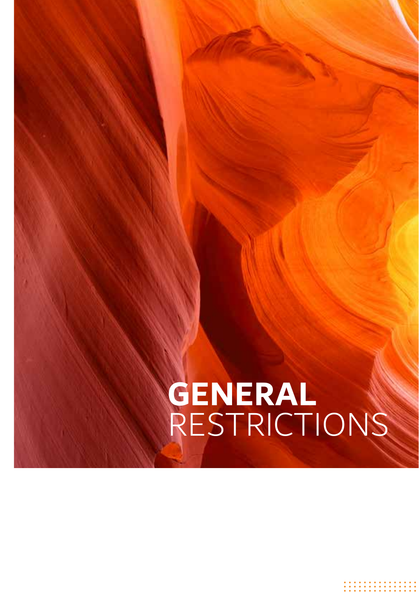## **GENERAL** RESTRICTIONS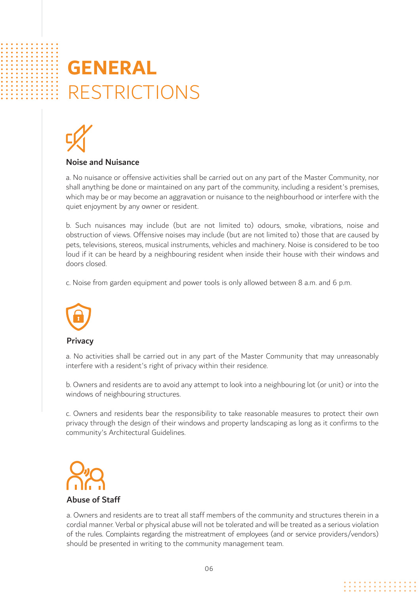## **GENERAL** RESTRICTIONS



#### Noise and Nuisance

a. No nuisance or offensive activities shall be carried out on any part of the Master Community, nor shall anything be done or maintained on any part of the community, including a resident's premises, which may be or may become an aggravation or nuisance to the neighbourhood or interfere with the quiet enjoyment by any owner or resident.

b. Such nuisances may include (but are not limited to) odours, smoke, vibrations, noise and obstruction of views. Offensive noises may include (but are not limited to) those that are caused by pets, televisions, stereos, musical instruments, vehicles and machinery. Noise is considered to be too loud if it can be heard by a neighbouring resident when inside their house with their windows and doors closed.

c. Noise from garden equipment and power tools is only allowed between 8 a.m. and 6 p.m.



#### **Privacy**

a. No activities shall be carried out in any part of the Master Community that may unreasonably interfere with a resident's right of privacy within their residence.

b. Owners and residents are to avoid any attempt to look into a neighbouring lot (or unit) or into the windows of neighbouring structures.

c. Owners and residents bear the responsibility to take reasonable measures to protect their own privacy through the design of their windows and property landscaping as long as it confirms to the community's Architectural Guidelines.



a. Owners and residents are to treat all staff members of the community and structures therein in a cordial manner. Verbal or physical abuse will not be tolerated and will be treated as a serious violation of the rules. Complaints regarding the mistreatment of employees (and or service providers/vendors) should be presented in writing to the community management team.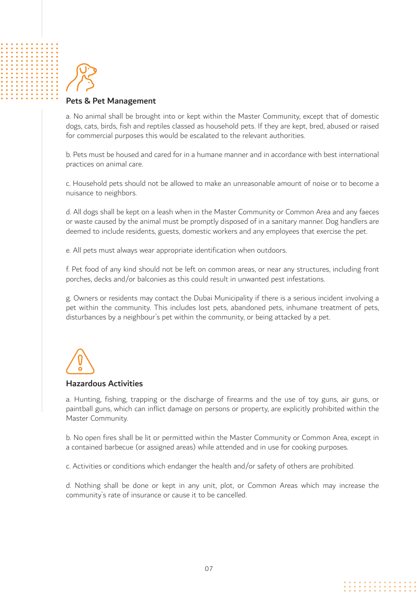

#### Pets & Pet Management

a. No animal shall be brought into or kept within the Master Community, except that of domestic dogs, cats, birds, fish and reptiles classed as household pets. If they are kept, bred, abused or raised for commercial purposes this would be escalated to the relevant authorities.

b. Pets must be housed and cared for in a humane manner and in accordance with best international practices on animal care.

c. Household pets should not be allowed to make an unreasonable amount of noise or to become a nuisance to neighbors.

d. All dogs shall be kept on a leash when in the Master Community or Common Area and any faeces or waste caused by the animal must be promptly disposed of in a sanitary manner. Dog handlers are deemed to include residents, guests, domestic workers and any employees that exercise the pet.

e. All pets must always wear appropriate identification when outdoors.

f. Pet food of any kind should not be left on common areas, or near any structures, including front porches, decks and/or balconies as this could result in unwanted pest infestations.

g. Owners or residents may contact the Dubai Municipality if there is a serious incident involving a pet within the community. This includes lost pets, abandoned pets, inhumane treatment of pets, disturbances by a neighbour's pet within the community, or being attacked by a pet.

#### Hazardous Activities

a. Hunting, fishing, trapping or the discharge of firearms and the use of toy guns, air guns, or paintball guns, which can inflict damage on persons or property, are explicitly prohibited within the Master Community.

b. No open fires shall be lit or permitted within the Master Community or Common Area, except in a contained barbecue (or assigned areas) while attended and in use for cooking purposes.

c. Activities or conditions which endanger the health and/or safety of others are prohibited.

d. Nothing shall be done or kept in any unit, plot, or Common Areas which may increase the community's rate of insurance or cause it to be cancelled.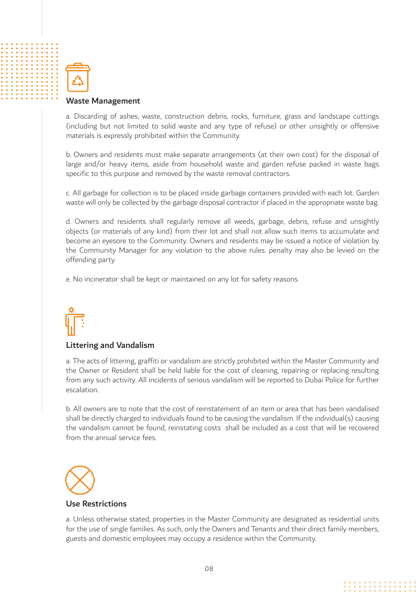

#### Waste Management

a. Discarding of ashes, waste, construction debris, rocks, furniture, grass and landscape cuttings (including but not limited to solid waste and any type of refuse) or other unsightly or offensive materials is expressly prohibited within the Community.

b. Owners and residents must make separate arrangements (at their own cost) for the disposal of large and/or heavy items, aside from household waste and garden refuse packed in waste bags specific to this purpose and removed by the waste removal contractors.

c. All garbage for collection is to be placed inside garbage containers provided with each lot. Garden waste will only be collected by the garbage disposal contractor if placed in the appropriate waste bag.

d. Owners and residents shall regularly remove all weeds, garbage, debris, refuse and unsightly objects (or materials of any kind) from their lot and shall not allow such items to accumulate and become an eyesore to the Community. Owners and residents may be issued a notice of violation by the Community Manager for any violation to the above rules. penalty may also be levied on the offending party.

e. No incinerator shall be kept or maintained on any lot for safety reasons.

#### Littering and Vandalism

a. The acts of littering, graffiti or vandalism are strictly prohibited within the Master Community and the Owner or Resident shall be held liable for the cost of cleaning, repairing or replacing resulting from any such activity. All incidents of serious vandalism will be reported to Dubai Police for further escalation.

b. All owners are to note that the cost of reinstatement of an item or area that has been vandalised shall be directly charged to individuals found to be causing the vandalism. If the individual(s) causing the vandalism cannot be found, reinstating costs shall be included as a cost that will be recovered from the annual service fees.



#### Use Restrictions

a. Unless otherwise stated, properties in the Master Community are designated as residential units for the use of single families. As such, only the Owners and Tenants and their direct family members, guests and domestic employees may occupy a residence within the Community.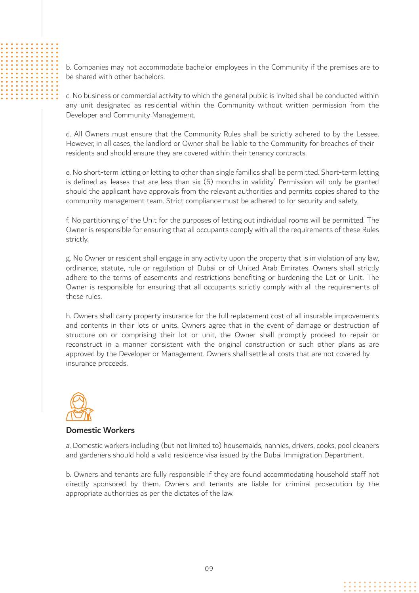b. Companies may not accommodate bachelor employees in the Community if the premises are to be shared with other bachelors.

c. No business or commercial activity to which the general public is invited shall be conducted within any unit designated as residential within the Community without written permission from the Developer and Community Management.

d. All Owners must ensure that the Community Rules shall be strictly adhered to by the Lessee. However, in all cases, the landlord or Owner shall be liable to the Community for breaches of their residents and should ensure they are covered within their tenancy contracts.

e. No short-term letting or letting to other than single families shall be permitted. Short-term letting is defined as 'leases that are less than six (6) months in validity'. Permission will only be granted should the applicant have approvals from the relevant authorities and permits copies shared to the community management team. Strict compliance must be adhered to for security and safety.

f. No partitioning of the Unit for the purposes of letting out individual rooms will be permitted. The Owner is responsible for ensuring that all occupants comply with all the requirements of these Rules strictly.

g. No Owner or resident shall engage in any activity upon the property that is in violation of any law, ordinance, statute, rule or regulation of Dubai or of United Arab Emirates. Owners shall strictly adhere to the terms of easements and restrictions benefiting or burdening the Lot or Unit. The Owner is responsible for ensuring that all occupants strictly comply with all the requirements of these rules.

h. Owners shall carry property insurance for the full replacement cost of all insurable improvements and contents in their lots or units. Owners agree that in the event of damage or destruction of structure on or comprising their lot or unit, the Owner shall promptly proceed to repair or reconstruct in a manner consistent with the original construction or such other plans as are approved by the Developer or Management. Owners shall settle all costs that are not covered by insurance proceeds.



#### Domestic Workers

a. Domestic workers including (but not limited to) housemaids, nannies, drivers, cooks, pool cleaners and gardeners should hold a valid residence visa issued by the Dubai Immigration Department.

b. Owners and tenants are fully responsible if they are found accommodating household staff not directly sponsored by them. Owners and tenants are liable for criminal prosecution by the appropriate authorities as per the dictates of the law.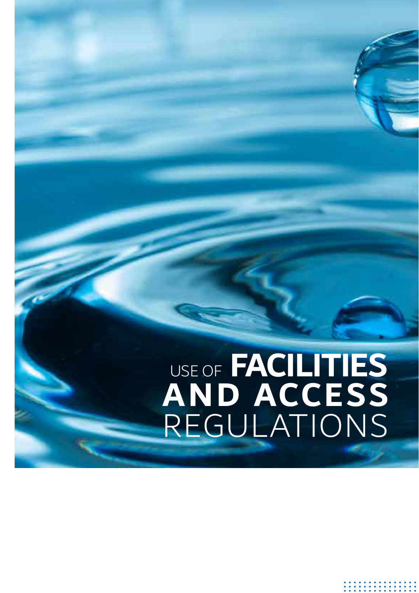## USE OF **FACILITIES AND ACCESS** REGULATIONS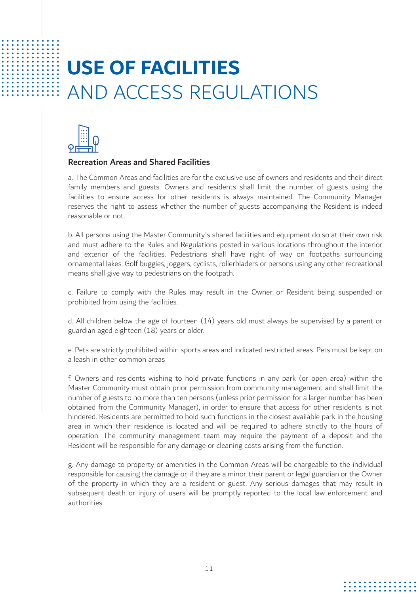## **USE OF FACILITIES** AND ACCESS REGULATIONS



#### Recreation Areas and Shared Facilities

a. The Common Areas and facilities are for the exclusive use of owners and residents and their direct family members and guests. Owners and residents shall limit the number of guests using the facilities to ensure access for other residents is always maintained. The Community Manager reserves the right to assess whether the number of guests accompanying the Resident is indeed reasonable or not.

b. All persons using the Master Community's shared facilities and equipment do so at their own risk and must adhere to the Rules and Regulations posted in various locations throughout the interior and exterior of the facilities. Pedestrians shall have right of way on footpaths surrounding ornamental lakes. Golf buggies, joggers, cyclists, rollerbladers or persons using any other recreational means shall give way to pedestrians on the footpath.

c. Failure to comply with the Rules may result in the Owner or Resident being suspended or prohibited from using the facilities.

d. All children below the age of fourteen (14) years old must always be supervised by a parent or guardian aged eighteen (18) years or older.

e. Pets are strictly prohibited within sports areas and indicated restricted areas. Pets must be kept on a leash in other common areas

f. Owners and residents wishing to hold private functions in any park (or open area) within the Master Community must obtain prior permission from community management and shall limit the number of guests to no more than ten persons (unless prior permission for a larger number has been obtained from the Community Manager), in order to ensure that access for other residents is not hindered. Residents are permitted to hold such functions in the closest available park in the housing area in which their residence is located and will be required to adhere strictly to the hours of operation. The community management team may require the payment of a deposit and the Resident will be responsible for any damage or cleaning costs arising from the function.

g. Any damage to property or amenities in the Common Areas will be chargeable to the individual responsible for causing the damage or, if they are a minor, their parent or legal guardian or the Owner of the property in which they are a resident or guest. Any serious damages that may result in subsequent death or injury of users will be promptly reported to the local law enforcement and authorities.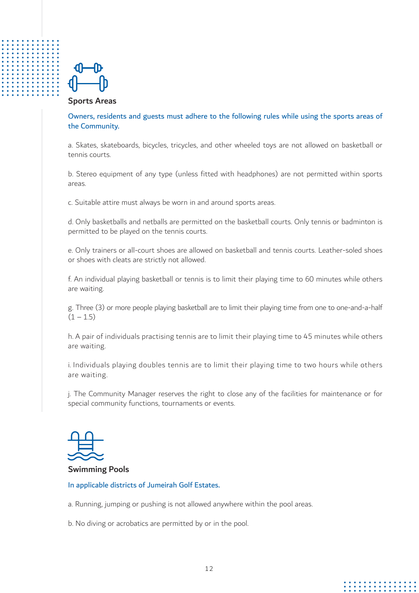

#### Sports Areas

Owners, residents and guests must adhere to the following rules while using the sports areas of the Community.

a. Skates, skateboards, bicycles, tricycles, and other wheeled toys are not allowed on basketball or tennis courts.

b. Stereo equipment of any type (unless fitted with headphones) are not permitted within sports areas.

c. Suitable attire must always be worn in and around sports areas.

d. Only basketballs and netballs are permitted on the basketball courts. Only tennis or badminton is permitted to be played on the tennis courts.

e. Only trainers or all-court shoes are allowed on basketball and tennis courts. Leather-soled shoes or shoes with cleats are strictly not allowed.

f. An individual playing basketball or tennis is to limit their playing time to 60 minutes while others are waiting.

g. Three (3) or more people playing basketball are to limit their playing time from one to one-and-a-half  $(1 - 1.5)$ 

h. A pair of individuals practising tennis are to limit their playing time to 45 minutes while others are waiting.

i. Individuals playing doubles tennis are to limit their playing time to two hours while others are waiting.

j. The Community Manager reserves the right to close any of the facilities for maintenance or for special community functions, tournaments or events.



#### Swimming Pools

#### In applicable districts of Jumeirah Golf Estates.

a. Running, jumping or pushing is not allowed anywhere within the pool areas.

b. No diving or acrobatics are permitted by or in the pool.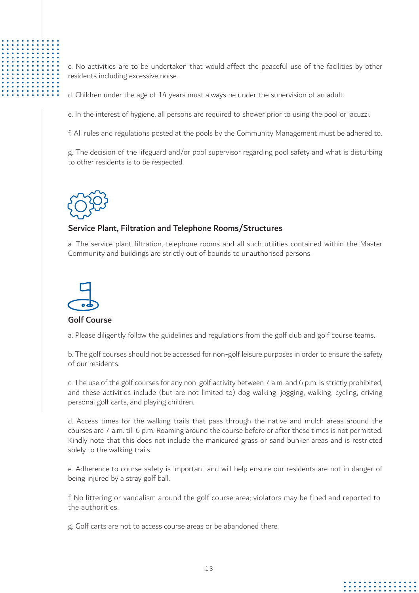

c. No activities are to be undertaken that would affect the peaceful use of the facilities by other residents including excessive noise.

d. Children under the age of 14 years must always be under the supervision of an adult.

e. In the interest of hygiene, all persons are required to shower prior to using the pool or jacuzzi.

f. All rules and regulations posted at the pools by the Community Management must be adhered to.

g. The decision of the lifeguard and/or pool supervisor regarding pool safety and what is disturbing to other residents is to be respected.



#### Service Plant, Filtration and Telephone Rooms/Structures

a. The service plant filtration, telephone rooms and all such utilities contained within the Master Community and buildings are strictly out of bounds to unauthorised persons.



#### Golf Course

a. Please diligently follow the guidelines and regulations from the golf club and golf course teams.

b. The golf courses should not be accessed for non-golf leisure purposes in order to ensure the safety of our residents.

c. The use of the golf courses for any non-golf activity between 7 a.m. and 6 p.m. is strictly prohibited, and these activities include (but are not limited to) dog walking, jogging, walking, cycling, driving personal golf carts, and playing children.

d. Access times for the walking trails that pass through the native and mulch areas around the courses are 7 a.m. till 6 p.m. Roaming around the course before or after these times is not permitted. Kindly note that this does not include the manicured grass or sand bunker areas and is restricted solely to the walking trails.

e. Adherence to course safety is important and will help ensure our residents are not in danger of being injured by a stray golf ball.

f. No littering or vandalism around the golf course area; violators may be fined and reported to the authorities.

g. Golf carts are not to access course areas or be abandoned there.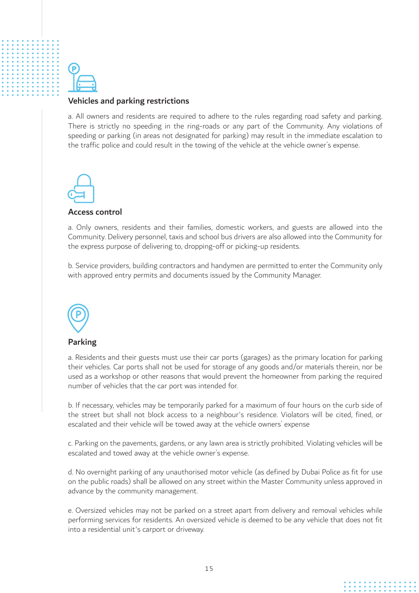#### Vehicles and parking restrictions

a. All owners and residents are required to adhere to the rules regarding road safety and parking. There is strictly no speeding in the ring-roads or any part of the Community. Any violations of speeding or parking (in areas not designated for parking) may result in the immediate escalation to the traffic police and could result in the towing of the vehicle at the vehicle owner's expense.



#### Access control

a. Only owners, residents and their families, domestic workers, and guests are allowed into the Community. Delivery personnel, taxis and school bus drivers are also allowed into the Community for the express purpose of delivering to, dropping-off or picking-up residents.

b. Service providers, building contractors and handymen are permitted to enter the Community only with approved entry permits and documents issued by the Community Manager.



#### Parking

a. Residents and their guests must use their car ports (garages) as the primary location for parking their vehicles. Car ports shall not be used for storage of any goods and/or materials therein, nor be used as a workshop or other reasons that would prevent the homeowner from parking the required number of vehicles that the car port was intended for.

b. If necessary, vehicles may be temporarily parked for a maximum of four hours on the curb side of the street but shall not block access to a neighbour's residence. Violators will be cited, fined, or escalated and their vehicle will be towed away at the vehicle owners' expense

c. Parking on the pavements, gardens, or any lawn area is strictly prohibited. Violating vehicles will be escalated and towed away at the vehicle owner's expense.

d. No overnight parking of any unauthorised motor vehicle (as defined by Dubai Police as fit for use on the public roads) shall be allowed on any street within the Master Community unless approved in advance by the community management.

e. Oversized vehicles may not be parked on a street apart from delivery and removal vehicles while performing services for residents. An oversized vehicle is deemed to be any vehicle that does not fit into a residential unit's carport or driveway.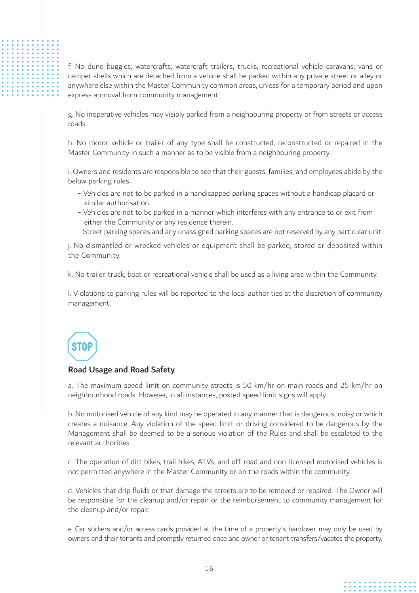f. No dune buggies, watercrafts, watercraft trailers, trucks, recreational vehicle caravans, vans or camper shells which are detached from a vehicle shall be parked within any private street or alley or anywhere else within the Master Community common areas, unless for a temporary period and upon express approval from community management.

g. No inoperative vehicles may visibly parked from a neighbouring property or from streets or access roads.

h. No motor vehicle or trailer of any type shall be constructed, reconstructed or repaired in the Master Community in such a manner as to be visible from a neighbouring property.

i. Owners and residents are responsible to see that their guests, families, and employees abide by the below parking rules.

- Vehicles are not to be parked in a handicapped parking spaces without a handicap placard or similar authorisation.
- Vehicles are not to be parked in a manner which interferes with any entrance to or exit from either the Community or any residence therein.
- Street parking spaces and any unassigned parking spaces are not reserved by any particular unit.

j. No dismantled or wrecked vehicles or equipment shall be parked, stored or deposited within the Community.

k. No trailer, truck, boat or recreational vehicle shall be used as a living area within the Community.

l. Violations to parking rules will be reported to the local authorities at the discretion of community management.

## STOF

#### Road Usage and Road Safety

a. The maximum speed limit on community streets is 50 km/hr on main roads and 25 km/hr on neighbourhood roads. However, in all instances, posted speed limit signs will apply.

b. No motorised vehicle of any kind may be operated in any manner that is dangerous, noisy or which creates a nuisance. Any violation of the speed limit or driving considered to be dangerous by the Management shall be deemed to be a serious violation of the Rules and shall be escalated to the relevant authorities.

c. The operation of dirt bikes, trail bikes, ATVs, and off-road and non-licensed motorised vehicles is not permitted anywhere in the Master Community or on the roads within the community.

d. Vehicles that drip fluids or that damage the streets are to be removed or repaired. The Owner will be responsible for the cleanup and/or repair or the reimbursement to community management for the cleanup and/or repair.

e. Car stickers and/or access cards provided at the time of a property's handover may only be used by owners and their tenants and promptly returned once and owner or tenant transfers/vacates the property.

. . . . . . . .<br>. . . . . . . .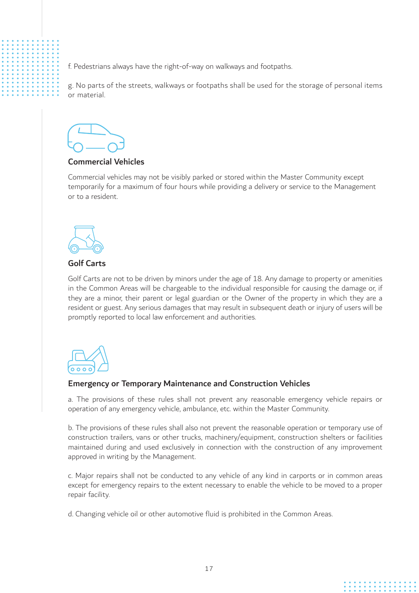f. Pedestrians always have the right-of-way on walkways and footpaths.

g. No parts of the streets, walkways or footpaths shall be used for the storage of personal items or material.

#### Commercial Vehicles

Commercial vehicles may not be visibly parked or stored within the Master Community except temporarily for a maximum of four hours while providing a delivery or service to the Management or to a resident.



#### Golf Carts

Golf Carts are not to be driven by minors under the age of 18. Any damage to property or amenities in the Common Areas will be chargeable to the individual responsible for causing the damage or, if they are a minor, their parent or legal guardian or the Owner of the property in which they are a resident or guest. Any serious damages that may result in subsequent death or injury of users will be promptly reported to local law enforcement and authorities.



#### Emergency or Temporary Maintenance and Construction Vehicles

a. The provisions of these rules shall not prevent any reasonable emergency vehicle repairs or operation of any emergency vehicle, ambulance, etc. within the Master Community.

b. The provisions of these rules shall also not prevent the reasonable operation or temporary use of construction trailers, vans or other trucks, machinery/equipment, construction shelters or facilities maintained during and used exclusively in connection with the construction of any improvement approved in writing by the Management.

c. Major repairs shall not be conducted to any vehicle of any kind in carports or in common areas except for emergency repairs to the extent necessary to enable the vehicle to be moved to a proper repair facility.

d. Changing vehicle oil or other automotive fluid is prohibited in the Common Areas.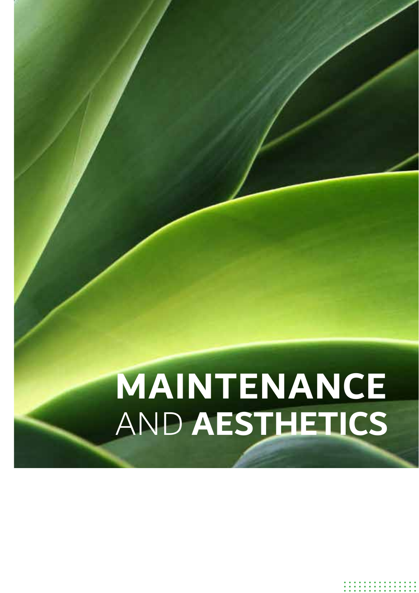# AND **AESTHETICS MAINTENANCE**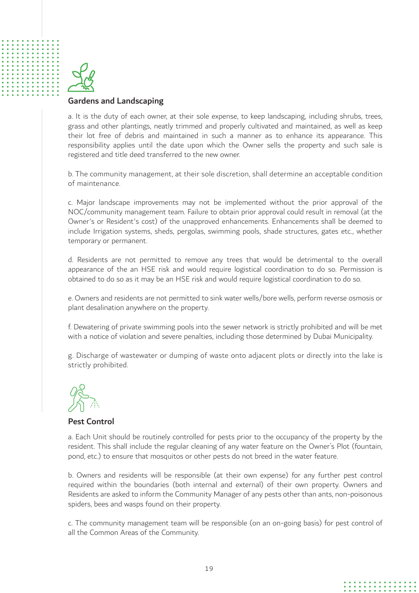

#### Gardens and Landscaping

a. It is the duty of each owner, at their sole expense, to keep landscaping, including shrubs, trees, grass and other plantings, neatly trimmed and properly cultivated and maintained, as well as keep their lot free of debris and maintained in such a manner as to enhance its appearance. This responsibility applies until the date upon which the Owner sells the property and such sale is registered and title deed transferred to the new owner.

b. The community management, at their sole discretion, shall determine an acceptable condition of maintenance.

c. Major landscape improvements may not be implemented without the prior approval of the NOC/community management team. Failure to obtain prior approval could result in removal (at the Owner's or Resident's cost) of the unapproved enhancements. Enhancements shall be deemed to include Irrigation systems, sheds, pergolas, swimming pools, shade structures, gates etc., whether temporary or permanent.

d. Residents are not permitted to remove any trees that would be detrimental to the overall appearance of the an HSE risk and would require logistical coordination to do so. Permission is obtained to do so as it may be an HSE risk and would require logistical coordination to do so.

e. Owners and residents are not permitted to sink water wells/bore wells, perform reverse osmosis or plant desalination anywhere on the property.

f. Dewatering of private swimming pools into the sewer network is strictly prohibited and will be met with a notice of violation and severe penalties, including those determined by Dubai Municipality.

g. Discharge of wastewater or dumping of waste onto adjacent plots or directly into the lake is strictly prohibited.



#### Pest Control

a. Each Unit should be routinely controlled for pests prior to the occupancy of the property by the resident. This shall include the regular cleaning of any water feature on the Owner's Plot (fountain, pond, etc.) to ensure that mosquitos or other pests do not breed in the water feature.

b. Owners and residents will be responsible (at their own expense) for any further pest control required within the boundaries (both internal and external) of their own property. Owners and Residents are asked to inform the Community Manager of any pests other than ants, non-poisonous spiders, bees and wasps found on their property.

c. The community management team will be responsible (on an on-going basis) for pest control of all the Common Areas of the Community.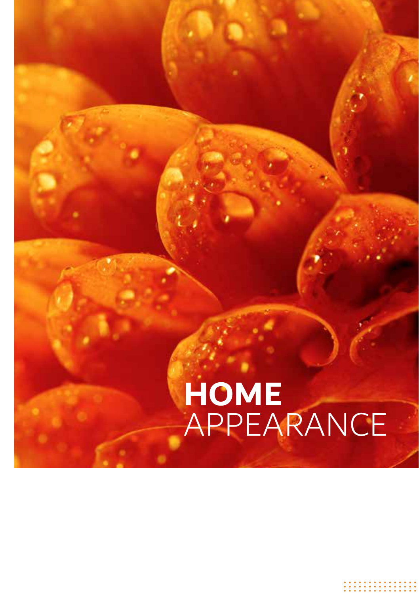## **HOME**  APPEARANCE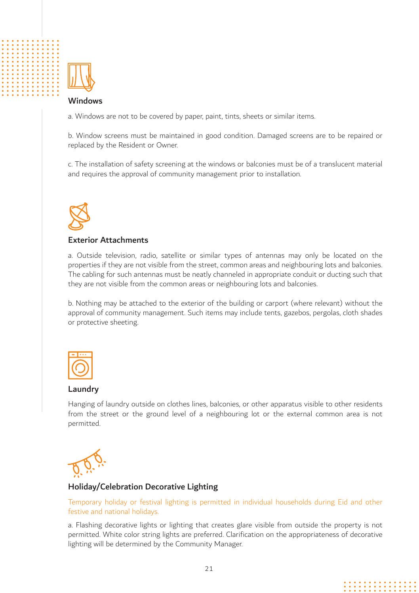

#### Windows

a. Windows are not to be covered by paper, paint, tints, sheets or similar items.

b. Window screens must be maintained in good condition. Damaged screens are to be repaired or replaced by the Resident or Owner.

c. The installation of safety screening at the windows or balconies must be of a translucent material and requires the approval of community management prior to installation.



#### Exterior Attachments

a. Outside television, radio, satellite or similar types of antennas may only be located on the properties if they are not visible from the street, common areas and neighbouring lots and balconies. The cabling for such antennas must be neatly channeled in appropriate conduit or ducting such that they are not visible from the common areas or neighbouring lots and balconies.

b. Nothing may be attached to the exterior of the building or carport (where relevant) without the approval of community management. Such items may include tents, gazebos, pergolas, cloth shades or protective sheeting.



#### Laundry

Hanging of laundry outside on clothes lines, balconies, or other apparatus visible to other residents from the street or the ground level of a neighbouring lot or the external common area is not permitted.



#### Holiday/Celebration Decorative Lighting

#### Temporary holiday or festival lighting is permitted in individual households during Eid and other festive and national holidays.

a. Flashing decorative lights or lighting that creates glare visible from outside the property is not permitted. White color string lights are preferred. Clarification on the appropriateness of decorative lighting will be determined by the Community Manager.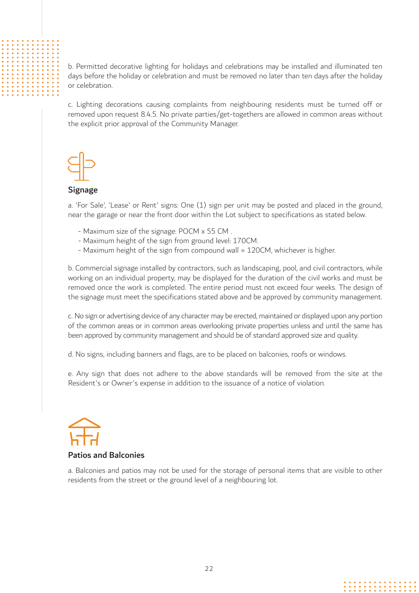b. Permitted decorative lighting for holidays and celebrations may be installed and illuminated ten days before the holiday or celebration and must be removed no later than ten days after the holiday or celebration.

c. Lighting decorations causing complaints from neighbouring residents must be turned off or removed upon request 8.4.5. No private parties/get-togethers are allowed in common areas without the explicit prior approval of the Community Manager.



#### Signage

a. 'For Sale', 'Lease' or Rent' signs: One (1) sign per unit may be posted and placed in the ground, near the garage or near the front door within the Lot subject to specifications as stated below.

- Maximum size of the signage: POCM x 55 CM .
- Maximum height of the sign from ground level: 170CM.
- Maximum height of the sign from compound wall = 120CM, whichever is higher.

b. Commercial signage installed by contractors, such as landscaping, pool, and civil contractors, while working on an individual property, may be displayed for the duration of the civil works and must be removed once the work is completed. The entire period must not exceed four weeks. The design of the signage must meet the specifications stated above and be approved by community management.

c. No sign or advertising device of any character may be erected, maintained or displayed upon any portion of the common areas or in common areas overlooking private properties unless and until the same has been approved by community management and should be of standard approved size and quality.

d. No signs, including banners and flags, are to be placed on balconies, roofs or windows.

e. Any sign that does not adhere to the above standards will be removed from the site at the Resident's or Owner's expense in addition to the issuance of a notice of violation.



#### Patios and Balconies

a. Balconies and patios may not be used for the storage of personal items that are visible to other residents from the street or the ground level of a neighbouring lot.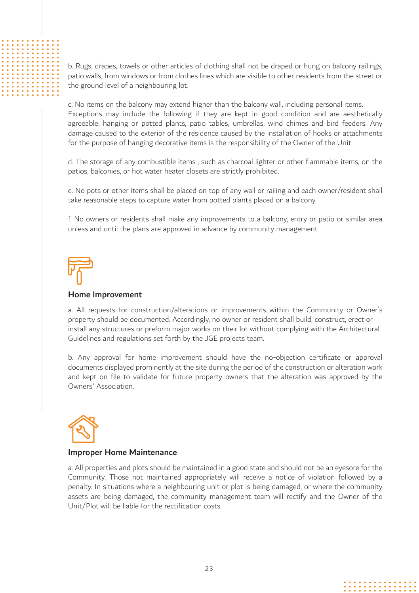b. Rugs, drapes, towels or other articles of clothing shall not be draped or hung on balcony railings, patio walls, from windows or from clothes lines which are visible to other residents from the street or the ground level of a neighbouring lot.

c. No items on the balcony may extend higher than the balcony wall, including personal items. Exceptions may include the following if they are kept in good condition and are aesthetically agreeable: hanging or potted plants, patio tables, umbrellas, wind chimes and bird feeders. Any damage caused to the exterior of the residence caused by the installation of hooks or attachments for the purpose of hanging decorative items is the responsibility of the Owner of the Unit.

d. The storage of any combustible items , such as charcoal lighter or other flammable items, on the patios, balconies, or hot water heater closets are strictly prohibited.

e. No pots or other items shall be placed on top of any wall or railing and each owner/resident shall take reasonable steps to capture water from potted plants placed on a balcony.

f. No owners or residents shall make any improvements to a balcony, entry or patio or similar area unless and until the plans are approved in advance by community management.

#### Home Improvement

a. All requests for construction/alterations or improvements within the Community or Owner's property should be documented. Accordingly, no owner or resident shall build, construct, erect or install any structures or preform major works on their lot without complying with the Architectural Guidelines and regulations set forth by the JGE projects team.

b. Any approval for home improvement should have the no-objection certificate or approval documents displayed prominently at the site during the period of the construction or alteration work and kept on file to validate for future property owners that the alteration was approved by the Owners' Association.



#### Improper Home Maintenance

a. All properties and plots should be maintained in a good state and should not be an eyesore for the Community. Those not maintained appropriately will receive a notice of violation followed by a penalty. In situations where a neighbouring unit or plot is being damaged, or where the community assets are being damaged, the community management team will rectify and the Owner of the Unit/Plot will be liable for the rectification costs.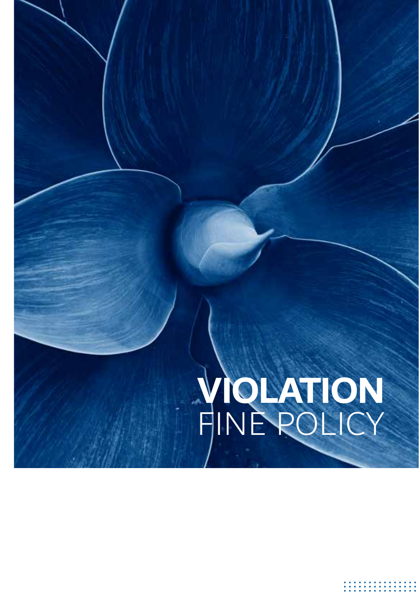# FINE POLICY **VIOLATION**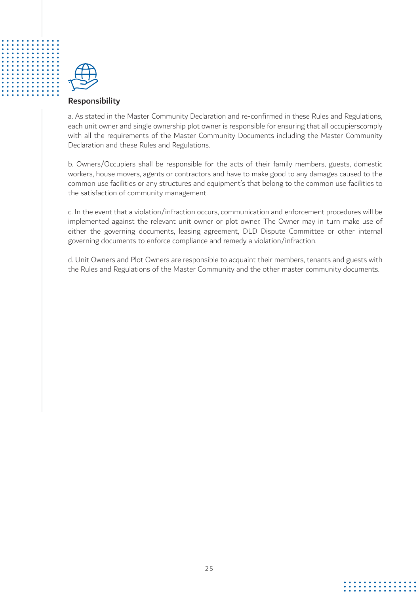

#### Responsibility

a. As stated in the Master Community Declaration and re-confirmed in these Rules and Regulations, each unit owner and single ownership plot owner is responsible for ensuring that all occupierscomply with all the requirements of the Master Community Documents including the Master Community Declaration and these Rules and Regulations.

b. Owners/Occupiers shall be responsible for the acts of their family members, guests, domestic workers, house movers, agents or contractors and have to make good to any damages caused to the common use facilities or any structures and equipment's that belong to the common use facilities to the satisfaction of community management.

c. In the event that a violation/infraction occurs, communication and enforcement procedures will be implemented against the relevant unit owner or plot owner. The Owner may in turn make use of either the governing documents, leasing agreement, DLD Dispute Committee or other internal governing documents to enforce compliance and remedy a violation/infraction.

d. Unit Owners and Plot Owners are responsible to acquaint their members, tenants and guests with the Rules and Regulations of the Master Community and the other master community documents.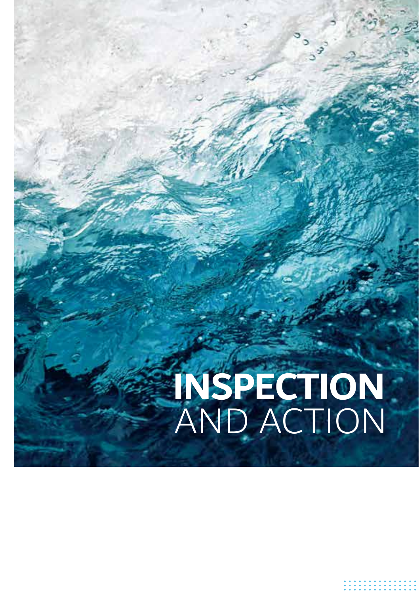# AND ACTION **INSPECTION**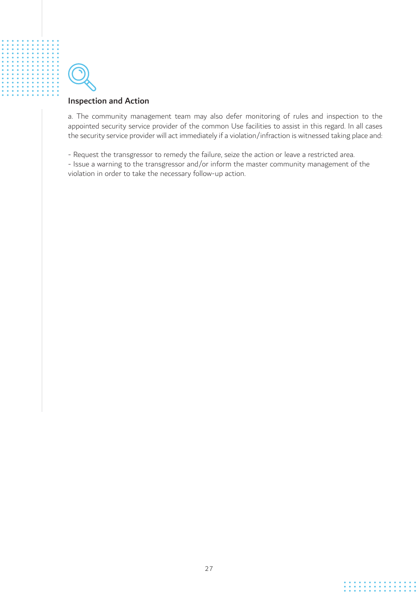

#### Inspection and Action

a. The community management team may also defer monitoring of rules and inspection to the appointed security service provider of the common Use facilities to assist in this regard. In all cases the security service provider will act immediately if a violation/infraction is witnessed taking place and:

- Request the transgressor to remedy the failure, seize the action or leave a restricted area.

- Issue a warning to the transgressor and/or inform the master community management of the violation in order to take the necessary follow-up action.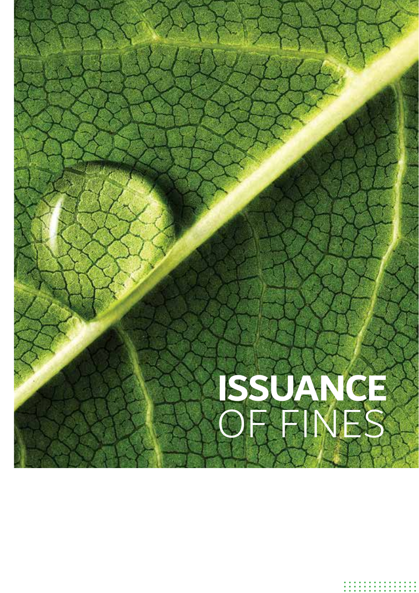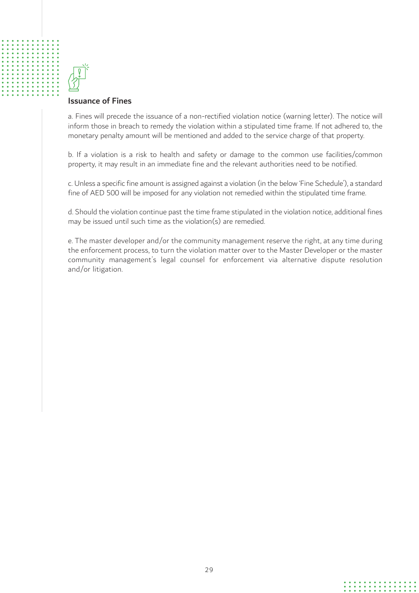

#### Issuance of Fines

a. Fines will precede the issuance of a non-rectified violation notice (warning letter). The notice will inform those in breach to remedy the violation within a stipulated time frame. If not adhered to, the monetary penalty amount will be mentioned and added to the service charge of that property.

b. If a violation is a risk to health and safety or damage to the common use facilities/common property, it may result in an immediate fine and the relevant authorities need to be notified.

c. Unless a specific fine amount is assigned against a violation (in the below 'Fine Schedule'), a standard fine of AED 500 will be imposed for any violation not remedied within the stipulated time frame.

d. Should the violation continue past the time frame stipulated in the violation notice, additional fines may be issued until such time as the violation(s) are remedied.

e. The master developer and/or the community management reserve the right, at any time during the enforcement process, to turn the violation matter over to the Master Developer or the master community management's legal counsel for enforcement via alternative dispute resolution and/or litigation.